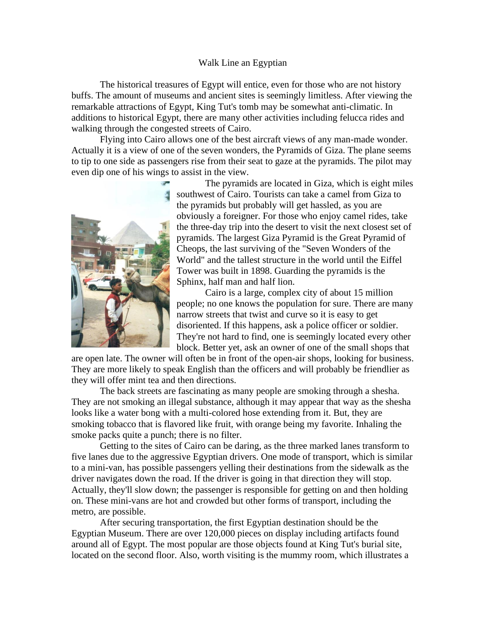## Walk Line an Egyptian

The historical treasures of Egypt will entice, even for those who are not history buffs. The amount of museums and ancient sites is seemingly limitless. After viewing the remarkable attractions of Egypt, King Tut's tomb may be somewhat anti-climatic. In additions to historical Egypt, there are many other activities including felucca rides and walking through the congested streets of Cairo.

Flying into Cairo allows one of the best aircraft views of any man-made wonder. Actually it is a view of one of the seven wonders, the Pyramids of Giza. The plane seems to tip to one side as passengers rise from their seat to gaze at the pyramids. The pilot may even dip one of his wings to assist in the view.



The pyramids are located in Giza, which is eight miles southwest of Cairo. Tourists can take a camel from Giza to the pyramids but probably will get hassled, as you are obviously a foreigner. For those who enjoy camel rides, take the three-day trip into the desert to visit the next closest set of pyramids. The largest Giza Pyramid is the Great Pyramid of Cheops, the last surviving of the "Seven Wonders of the World" and the tallest structure in the world until the Eiffel Tower was built in 1898. Guarding the pyramids is the Sphinx, half man and half lion.

Cairo is a large, complex city of about 15 million people; no one knows the population for sure. There are many narrow streets that twist and curve so it is easy to get disoriented. If this happens, ask a police officer or soldier. They're not hard to find, one is seemingly located every other block. Better yet, ask an owner of one of the small shops that

are open late. The owner will often be in front of the open-air shops, looking for business. They are more likely to speak English than the officers and will probably be friendlier as they will offer mint tea and then directions.

The back streets are fascinating as many people are smoking through a shesha. They are not smoking an illegal substance, although it may appear that way as the shesha looks like a water bong with a multi-colored hose extending from it. But, they are smoking tobacco that is flavored like fruit, with orange being my favorite. Inhaling the smoke packs quite a punch; there is no filter.

Getting to the sites of Cairo can be daring, as the three marked lanes transform to five lanes due to the aggressive Egyptian drivers. One mode of transport, which is similar to a mini-van, has possible passengers yelling their destinations from the sidewalk as the driver navigates down the road. If the driver is going in that direction they will stop. Actually, they'll slow down; the passenger is responsible for getting on and then holding on. These mini-vans are hot and crowded but other forms of transport, including the metro, are possible.

After securing transportation, the first Egyptian destination should be the Egyptian Museum. There are over 120,000 pieces on display including artifacts found around all of Egypt. The most popular are those objects found at King Tut's burial site, located on the second floor. Also, worth visiting is the mummy room, which illustrates a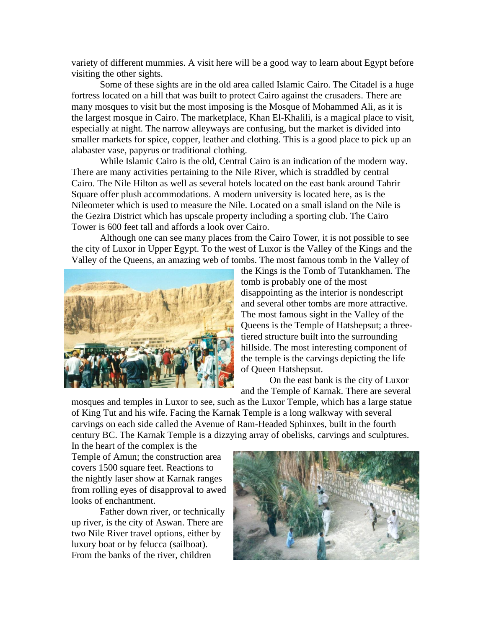variety of different mummies. A visit here will be a good way to learn about Egypt before visiting the other sights.

Some of these sights are in the old area called Islamic Cairo. The Citadel is a huge fortress located on a hill that was built to protect Cairo against the crusaders. There are many mosques to visit but the most imposing is the Mosque of Mohammed Ali, as it is the largest mosque in Cairo. The marketplace, Khan El-Khalili, is a magical place to visit, especially at night. The narrow alleyways are confusing, but the market is divided into smaller markets for spice, copper, leather and clothing. This is a good place to pick up an alabaster vase, papyrus or traditional clothing.

While Islamic Cairo is the old, Central Cairo is an indication of the modern way. There are many activities pertaining to the Nile River, which is straddled by central Cairo. The Nile Hilton as well as several hotels located on the east bank around Tahrir Square offer plush accommodations. A modern university is located here, as is the Nileometer which is used to measure the Nile. Located on a small island on the Nile is the Gezira District which has upscale property including a sporting club. The Cairo Tower is 600 feet tall and affords a look over Cairo.

Although one can see many places from the Cairo Tower, it is not possible to see the city of Luxor in Upper Egypt. To the west of Luxor is the Valley of the Kings and the Valley of the Queens, an amazing web of tombs. The most famous tomb in the Valley of



the Kings is the Tomb of Tutankhamen. The tomb is probably one of the most disappointing as the interior is nondescript and several other tombs are more attractive. The most famous sight in the Valley of the Queens is the Temple of Hatshepsut; a threetiered structure built into the surrounding hillside. The most interesting component of the temple is the carvings depicting the life of Queen Hatshepsut.

On the east bank is the city of Luxor and the Temple of Karnak. There are several

mosques and temples in Luxor to see, such as the Luxor Temple, which has a large statue of King Tut and his wife. Facing the Karnak Temple is a long walkway with several carvings on each side called the Avenue of Ram-Headed Sphinxes, built in the fourth century BC. The Karnak Temple is a dizzying array of obelisks, carvings and sculptures.

In the heart of the complex is the Temple of Amun; the construction area covers 1500 square feet. Reactions to the nightly laser show at Karnak ranges from rolling eyes of disapproval to awed looks of enchantment.

Father down river, or technically up river, is the city of Aswan. There are two Nile River travel options, either by luxury boat or by felucca (sailboat). From the banks of the river, children